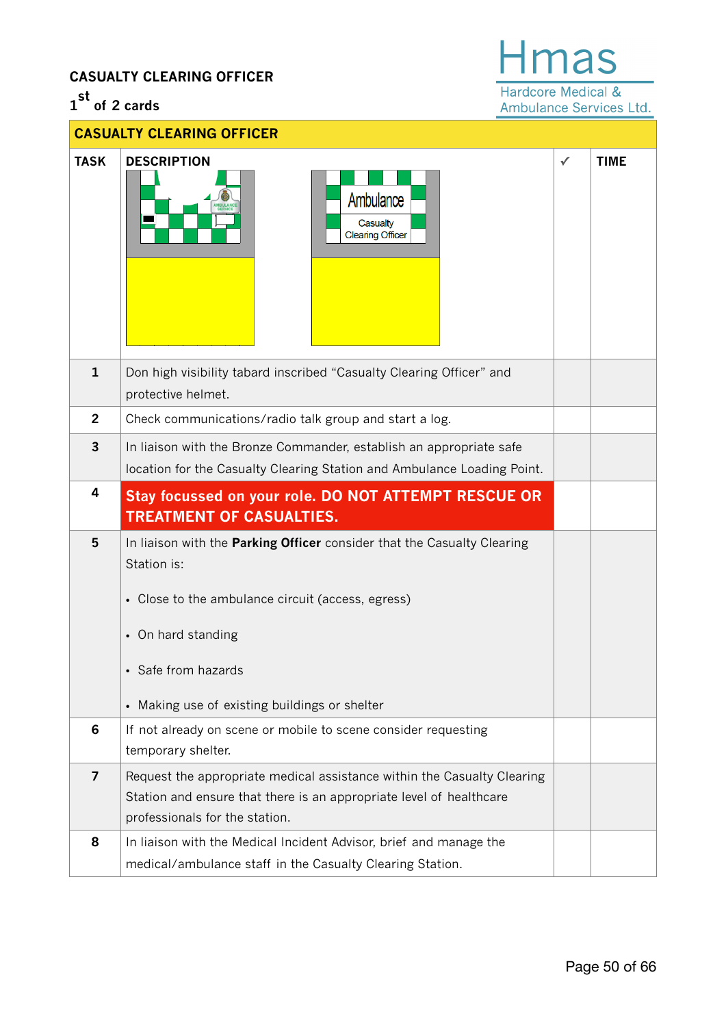## **CASUALTY CLEARING OFFICER**

## **1 st of 2 cards**

## **Hmas**

Hardcore Medical & Ambulance Services Ltd.

|                | <b>CASUALTY CLEARING OFFICER</b>                                                                                                                                                                                                          |   |             |
|----------------|-------------------------------------------------------------------------------------------------------------------------------------------------------------------------------------------------------------------------------------------|---|-------------|
| <b>TASK</b>    | <b>DESCRIPTION</b><br>Ambulance<br>Casualty<br><b>Clearing Officer</b>                                                                                                                                                                    | ✓ | <b>TIME</b> |
| $\mathbf{1}$   | Don high visibility tabard inscribed "Casualty Clearing Officer" and<br>protective helmet.                                                                                                                                                |   |             |
| $\overline{2}$ | Check communications/radio talk group and start a log.                                                                                                                                                                                    |   |             |
| 3              | In liaison with the Bronze Commander, establish an appropriate safe<br>location for the Casualty Clearing Station and Ambulance Loading Point.                                                                                            |   |             |
| 4              | <b>Stay focussed on your role. DO NOT ATTEMPT RESCUE OR</b><br><b>TREATMENT OF CASUALTIES.</b>                                                                                                                                            |   |             |
| 5              | In liaison with the Parking Officer consider that the Casualty Clearing<br>Station is:<br>• Close to the ambulance circuit (access, egress)<br>• On hard standing<br>• Safe from hazards<br>• Making use of existing buildings or shelter |   |             |
| 6              | If not already on scene or mobile to scene consider requesting<br>temporary shelter.                                                                                                                                                      |   |             |
| $\overline{7}$ | Request the appropriate medical assistance within the Casualty Clearing<br>Station and ensure that there is an appropriate level of healthcare<br>professionals for the station.                                                          |   |             |
| 8              | In liaison with the Medical Incident Advisor, brief and manage the<br>medical/ambulance staff in the Casualty Clearing Station.                                                                                                           |   |             |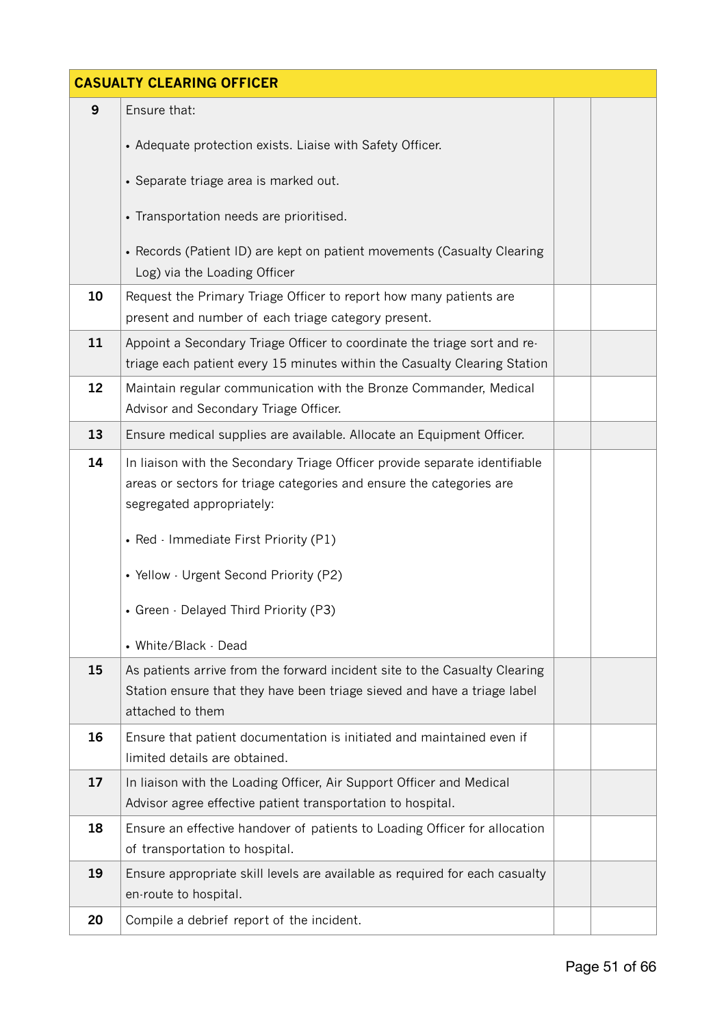| <b>CASUALTY CLEARING OFFICER</b> |                                                                                                                                                                                                                          |  |  |  |  |  |  |  |
|----------------------------------|--------------------------------------------------------------------------------------------------------------------------------------------------------------------------------------------------------------------------|--|--|--|--|--|--|--|
| 9                                | Ensure that:                                                                                                                                                                                                             |  |  |  |  |  |  |  |
|                                  | • Adequate protection exists. Liaise with Safety Officer.                                                                                                                                                                |  |  |  |  |  |  |  |
|                                  | • Separate triage area is marked out.                                                                                                                                                                                    |  |  |  |  |  |  |  |
|                                  | • Transportation needs are prioritised.                                                                                                                                                                                  |  |  |  |  |  |  |  |
|                                  | • Records (Patient ID) are kept on patient movements (Casualty Clearing<br>Log) via the Loading Officer                                                                                                                  |  |  |  |  |  |  |  |
| 10                               | Request the Primary Triage Officer to report how many patients are<br>present and number of each triage category present.                                                                                                |  |  |  |  |  |  |  |
| 11                               | Appoint a Secondary Triage Officer to coordinate the triage sort and re-<br>triage each patient every 15 minutes within the Casualty Clearing Station                                                                    |  |  |  |  |  |  |  |
| 12                               | Maintain regular communication with the Bronze Commander, Medical<br>Advisor and Secondary Triage Officer.                                                                                                               |  |  |  |  |  |  |  |
| 13                               | Ensure medical supplies are available. Allocate an Equipment Officer.                                                                                                                                                    |  |  |  |  |  |  |  |
| 14                               | In liaison with the Secondary Triage Officer provide separate identifiable<br>areas or sectors for triage categories and ensure the categories are<br>segregated appropriately:<br>• Red · Immediate First Priority (P1) |  |  |  |  |  |  |  |
|                                  | • Yellow - Urgent Second Priority (P2)<br>• Green · Delayed Third Priority (P3)<br>• White/Black - Dead                                                                                                                  |  |  |  |  |  |  |  |
| 15                               | As patients arrive from the forward incident site to the Casualty Clearing<br>Station ensure that they have been triage sieved and have a triage label<br>attached to them                                               |  |  |  |  |  |  |  |
| 16                               | Ensure that patient documentation is initiated and maintained even if<br>limited details are obtained.                                                                                                                   |  |  |  |  |  |  |  |
| 17                               | In liaison with the Loading Officer, Air Support Officer and Medical<br>Advisor agree effective patient transportation to hospital.                                                                                      |  |  |  |  |  |  |  |
| 18                               | Ensure an effective handover of patients to Loading Officer for allocation<br>of transportation to hospital.                                                                                                             |  |  |  |  |  |  |  |
| 19                               | Ensure appropriate skill levels are available as required for each casualty<br>en-route to hospital.                                                                                                                     |  |  |  |  |  |  |  |
| 20                               | Compile a debrief report of the incident.                                                                                                                                                                                |  |  |  |  |  |  |  |